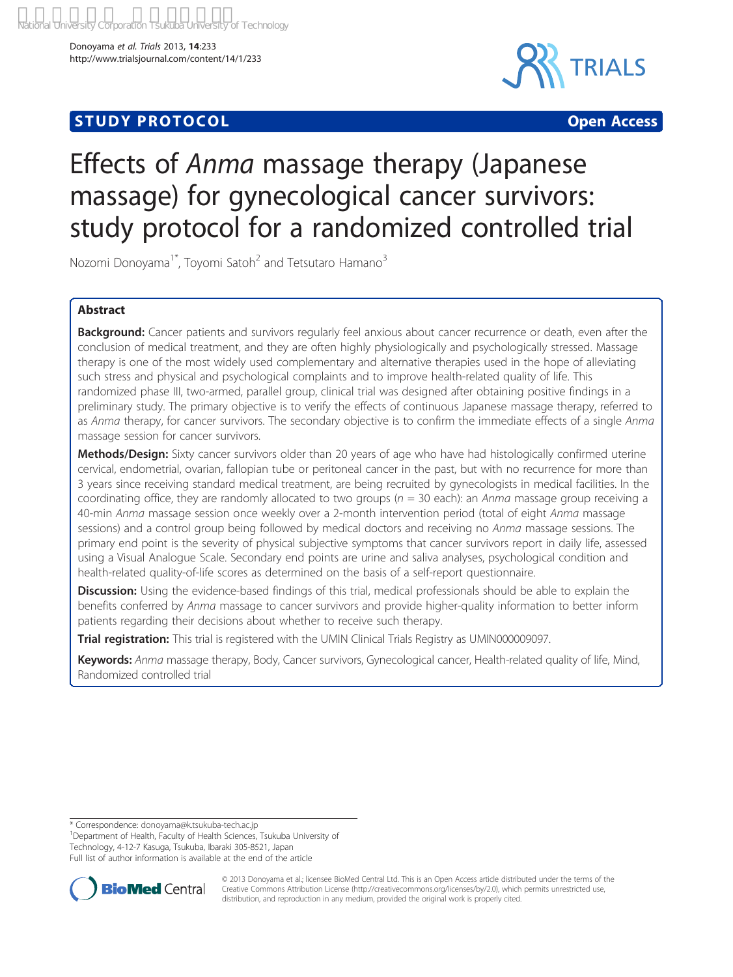Donoyama et al. Trials 2013, 14:233 http://www.trialsjournal.com/content/14/1/233

# **STUDY PROTOCOL CONSUMING THE CONSUMING OPEN ACCESS**



# Effects of Anma massage therapy (Japanese massage) for gynecological cancer survivors: study protocol for a randomized controlled trial

Nozomi Donoyama<sup>1\*</sup>, Toyomi Satoh<sup>2</sup> and Tetsutaro Hamano<sup>3</sup>

# Abstract

Background: Cancer patients and survivors regularly feel anxious about cancer recurrence or death, even after the conclusion of medical treatment, and they are often highly physiologically and psychologically stressed. Massage therapy is one of the most widely used complementary and alternative therapies used in the hope of alleviating such stress and physical and psychological complaints and to improve health-related quality of life. This randomized phase III, two-armed, parallel group, clinical trial was designed after obtaining positive findings in a preliminary study. The primary objective is to verify the effects of continuous Japanese massage therapy, referred to as Anma therapy, for cancer survivors. The secondary objective is to confirm the immediate effects of a single Anma massage session for cancer survivors.

Methods/Design: Sixty cancer survivors older than 20 years of age who have had histologically confirmed uterine cervical, endometrial, ovarian, fallopian tube or peritoneal cancer in the past, but with no recurrence for more than 3 years since receiving standard medical treatment, are being recruited by gynecologists in medical facilities. In the coordinating office, they are randomly allocated to two groups ( $n = 30$  each): an Anma massage group receiving a 40-min Anma massage session once weekly over a 2-month intervention period (total of eight Anma massage sessions) and a control group being followed by medical doctors and receiving no Anma massage sessions. The primary end point is the severity of physical subjective symptoms that cancer survivors report in daily life, assessed using a Visual Analogue Scale. Secondary end points are urine and saliva analyses, psychological condition and health-related quality-of-life scores as determined on the basis of a self-report questionnaire.

**Discussion:** Using the evidence-based findings of this trial, medical professionals should be able to explain the benefits conferred by Anma massage to cancer survivors and provide higher-quality information to better inform patients regarding their decisions about whether to receive such therapy.

**Trial registration:** This trial is registered with the UMIN Clinical Trials Registry as [UMIN000009097.](https://upload.umin.ac.jp/cgi-open-bin/ctr/ctr.cgi?function=brows&action=brows&type=summary&recptno=R000010670&language=E)

Keywords: Anma massage therapy, Body, Cancer survivors, Gynecological cancer, Health-related quality of life, Mind, Randomized controlled trial

\* Correspondence: [donoyama@k.tsukuba-tech.ac.jp](mailto:donoyama@k.tsukuba-tech.ac.jp) <sup>1</sup>

<sup>1</sup>Department of Health, Faculty of Health Sciences, Tsukuba University of Technology, 4-12-7 Kasuga, Tsukuba, Ibaraki 305-8521, Japan Full list of author information is available at the end of the article



© 2013 Donoyama et al.; licensee BioMed Central Ltd. This is an Open Access article distributed under the terms of the Creative Commons Attribution License (<http://creativecommons.org/licenses/by/2.0>), which permits unrestricted use, distribution, and reproduction in any medium, provided the original work is properly cited.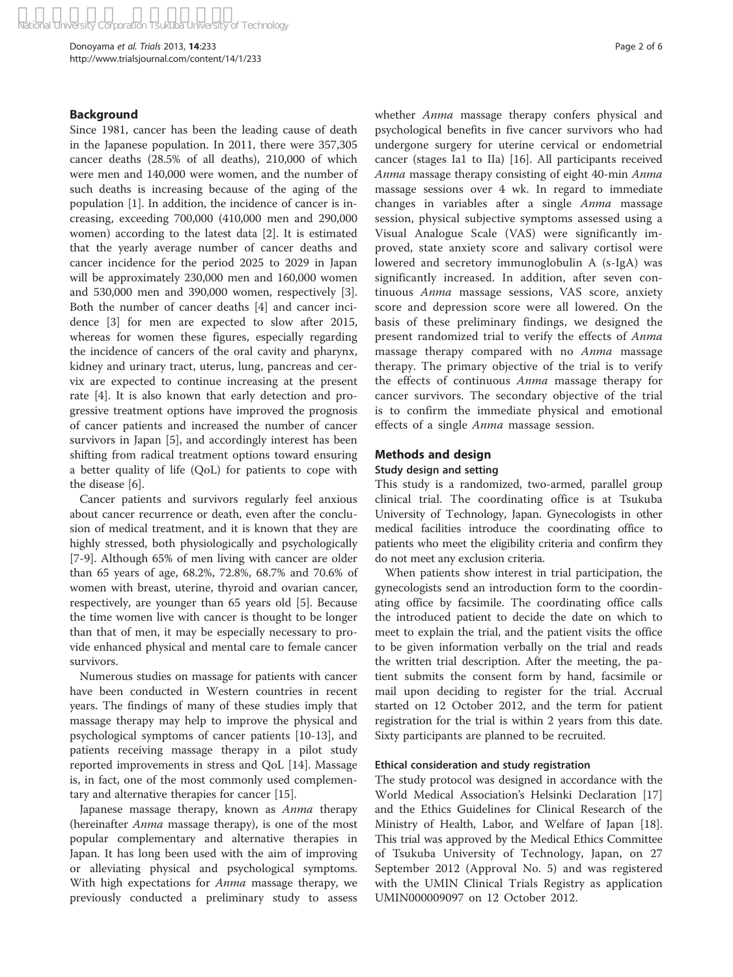Donoyama et al. Trials 2013, 14:233 Page 2 of 6 http://www.trialsjournal.com/content/14/1/233

# Background

Since 1981, cancer has been the leading cause of death in the Japanese population. In 2011, there were 357,305 cancer deaths (28.5% of all deaths), 210,000 of which were men and 140,000 were women, and the number of such deaths is increasing because of the aging of the population [\[1\]](#page-4-0). In addition, the incidence of cancer is increasing, exceeding 700,000 (410,000 men and 290,000 women) according to the latest data [\[2](#page-4-0)]. It is estimated that the yearly average number of cancer deaths and cancer incidence for the period 2025 to 2029 in Japan will be approximately 230,000 men and 160,000 women and 530,000 men and 390,000 women, respectively [\[3](#page-5-0)]. Both the number of cancer deaths [[4\]](#page-5-0) and cancer incidence [[3\]](#page-5-0) for men are expected to slow after 2015, whereas for women these figures, especially regarding the incidence of cancers of the oral cavity and pharynx, kidney and urinary tract, uterus, lung, pancreas and cervix are expected to continue increasing at the present rate [[4\]](#page-5-0). It is also known that early detection and progressive treatment options have improved the prognosis of cancer patients and increased the number of cancer survivors in Japan [[5\]](#page-5-0), and accordingly interest has been shifting from radical treatment options toward ensuring a better quality of life (QoL) for patients to cope with the disease [\[6](#page-5-0)].

Cancer patients and survivors regularly feel anxious about cancer recurrence or death, even after the conclusion of medical treatment, and it is known that they are highly stressed, both physiologically and psychologically [[7-9](#page-5-0)]. Although 65% of men living with cancer are older than 65 years of age, 68.2%, 72.8%, 68.7% and 70.6% of women with breast, uterine, thyroid and ovarian cancer, respectively, are younger than 65 years old [[5\]](#page-5-0). Because the time women live with cancer is thought to be longer than that of men, it may be especially necessary to provide enhanced physical and mental care to female cancer survivors.

Numerous studies on massage for patients with cancer have been conducted in Western countries in recent years. The findings of many of these studies imply that massage therapy may help to improve the physical and psychological symptoms of cancer patients [[10-13](#page-5-0)], and patients receiving massage therapy in a pilot study reported improvements in stress and QoL [\[14](#page-5-0)]. Massage is, in fact, one of the most commonly used complementary and alternative therapies for cancer [\[15\]](#page-5-0).

Japanese massage therapy, known as Anma therapy (hereinafter Anma massage therapy), is one of the most popular complementary and alternative therapies in Japan. It has long been used with the aim of improving or alleviating physical and psychological symptoms. With high expectations for *Anma* massage therapy, we previously conducted a preliminary study to assess whether *Anma* massage therapy confers physical and psychological benefits in five cancer survivors who had undergone surgery for uterine cervical or endometrial cancer (stages Ia1 to IIa) [\[16](#page-5-0)]. All participants received Anma massage therapy consisting of eight 40-min Anma massage sessions over 4 wk. In regard to immediate changes in variables after a single Anma massage session, physical subjective symptoms assessed using a Visual Analogue Scale (VAS) were significantly improved, state anxiety score and salivary cortisol were lowered and secretory immunoglobulin A (s-IgA) was significantly increased. In addition, after seven continuous Anma massage sessions, VAS score, anxiety score and depression score were all lowered. On the basis of these preliminary findings, we designed the present randomized trial to verify the effects of Anma massage therapy compared with no Anma massage therapy. The primary objective of the trial is to verify the effects of continuous Anma massage therapy for cancer survivors. The secondary objective of the trial is to confirm the immediate physical and emotional effects of a single Anma massage session.

# Methods and design Study design and setting

This study is a randomized, two-armed, parallel group clinical trial. The coordinating office is at Tsukuba University of Technology, Japan. Gynecologists in other medical facilities introduce the coordinating office to patients who meet the eligibility criteria and confirm they do not meet any exclusion criteria.

When patients show interest in trial participation, the gynecologists send an introduction form to the coordinating office by facsimile. The coordinating office calls the introduced patient to decide the date on which to meet to explain the trial, and the patient visits the office to be given information verbally on the trial and reads the written trial description. After the meeting, the patient submits the consent form by hand, facsimile or mail upon deciding to register for the trial. Accrual started on 12 October 2012, and the term for patient registration for the trial is within 2 years from this date. Sixty participants are planned to be recruited.

### Ethical consideration and study registration

The study protocol was designed in accordance with the World Medical Association's Helsinki Declaration [[17](#page-5-0)] and the Ethics Guidelines for Clinical Research of the Ministry of Health, Labor, and Welfare of Japan [\[18](#page-5-0)]. This trial was approved by the Medical Ethics Committee of Tsukuba University of Technology, Japan, on 27 September 2012 (Approval No. 5) and was registered with the UMIN Clinical Trials Registry as application UMIN000009097 on 12 October 2012.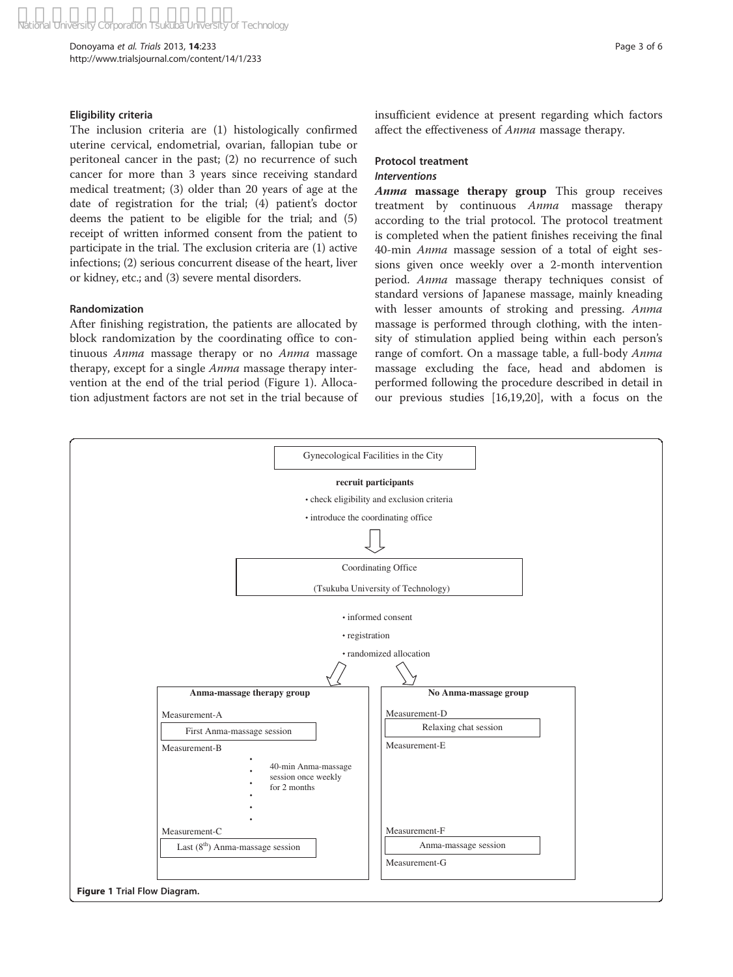<span id="page-2-0"></span>Donoyama et al. Trials 2013, 14:233 Page 3 of 6 http://www.trialsjournal.com/content/14/1/233

#### Eligibility criteria

The inclusion criteria are (1) histologically confirmed uterine cervical, endometrial, ovarian, fallopian tube or peritoneal cancer in the past; (2) no recurrence of such cancer for more than 3 years since receiving standard medical treatment; (3) older than 20 years of age at the date of registration for the trial; (4) patient's doctor deems the patient to be eligible for the trial; and (5) receipt of written informed consent from the patient to participate in the trial. The exclusion criteria are (1) active infections; (2) serious concurrent disease of the heart, liver or kidney, etc.; and (3) severe mental disorders.

#### Randomization

After finishing registration, the patients are allocated by block randomization by the coordinating office to continuous Anma massage therapy or no Anma massage therapy, except for a single *Anma* massage therapy intervention at the end of the trial period (Figure 1). Allocation adjustment factors are not set in the trial because of insufficient evidence at present regarding which factors affect the effectiveness of Anma massage therapy.

# Protocol treatment Interventions

Anma massage therapy group This group receives treatment by continuous Anma massage therapy according to the trial protocol. The protocol treatment is completed when the patient finishes receiving the final 40-min Anma massage session of a total of eight sessions given once weekly over a 2-month intervention period. Anma massage therapy techniques consist of standard versions of Japanese massage, mainly kneading with lesser amounts of stroking and pressing. Anma massage is performed through clothing, with the intensity of stimulation applied being within each person's range of comfort. On a massage table, a full-body Anma massage excluding the face, head and abdomen is performed following the procedure described in detail in our previous studies [[16](#page-5-0),[19](#page-5-0),[20](#page-5-0)], with a focus on the

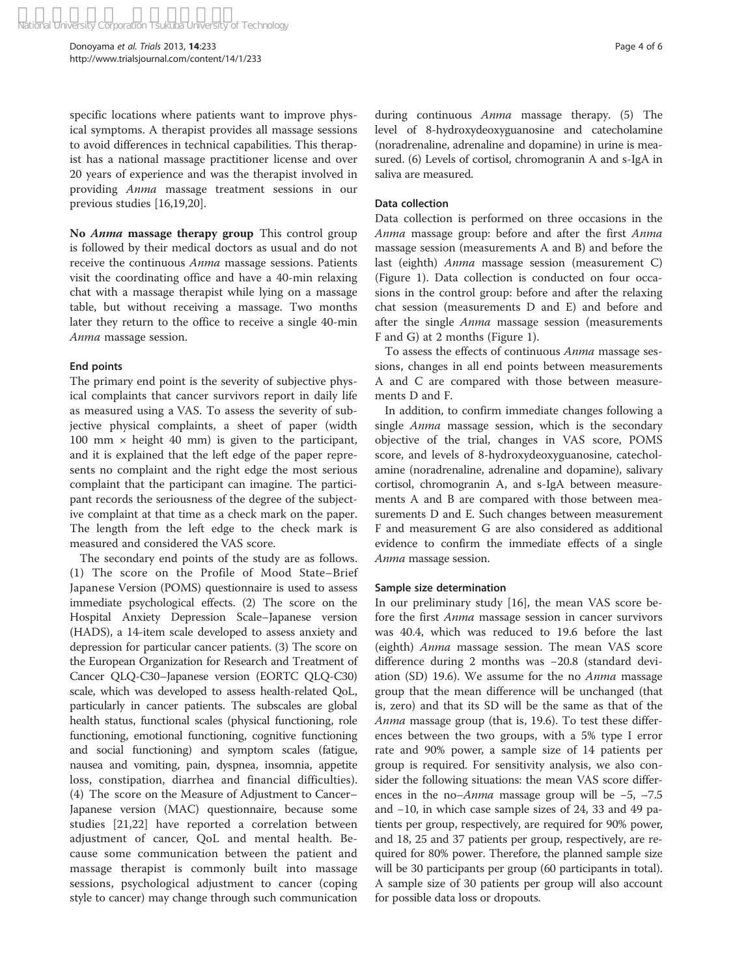specific locations where patients want to improve physical symptoms. A therapist provides all massage sessions to avoid differences in technical capabilities. This therapist has a national massage practitioner license and over 20 years of experience and was the therapist involved in providing Anma massage treatment sessions in our previous studies [[16](#page-5-0),[19](#page-5-0),[20](#page-5-0)].

No *Anma* massage therapy group This control group is followed by their medical doctors as usual and do not receive the continuous Anma massage sessions. Patients visit the coordinating office and have a 40-min relaxing chat with a massage therapist while lying on a massage table, but without receiving a massage. Two months later they return to the office to receive a single 40-min Anma massage session.

# End points

The primary end point is the severity of subjective physical complaints that cancer survivors report in daily life as measured using a VAS. To assess the severity of subjective physical complaints, a sheet of paper (width 100 mm  $\times$  height 40 mm) is given to the participant, and it is explained that the left edge of the paper represents no complaint and the right edge the most serious complaint that the participant can imagine. The participant records the seriousness of the degree of the subjective complaint at that time as a check mark on the paper. The length from the left edge to the check mark is measured and considered the VAS score.

The secondary end points of the study are as follows. (1) The score on the Profile of Mood State–Brief Japanese Version (POMS) questionnaire is used to assess immediate psychological effects. (2) The score on the Hospital Anxiety Depression Scale–Japanese version (HADS), a 14-item scale developed to assess anxiety and depression for particular cancer patients. (3) The score on the European Organization for Research and Treatment of Cancer QLQ-C30–Japanese version (EORTC QLQ-C30) scale, which was developed to assess health-related QoL, particularly in cancer patients. The subscales are global health status, functional scales (physical functioning, role functioning, emotional functioning, cognitive functioning and social functioning) and symptom scales (fatigue, nausea and vomiting, pain, dyspnea, insomnia, appetite loss, constipation, diarrhea and financial difficulties). (4) The score on the Measure of Adjustment to Cancer– Japanese version (MAC) questionnaire, because some studies [[21,22](#page-5-0)] have reported a correlation between adjustment of cancer, QoL and mental health. Because some communication between the patient and massage therapist is commonly built into massage sessions, psychological adjustment to cancer (coping style to cancer) may change through such communication

during continuous Anma massage therapy. (5) The level of 8-hydroxydeoxyguanosine and catecholamine (noradrenaline, adrenaline and dopamine) in urine is measured. (6) Levels of cortisol, chromogranin A and s-IgA in saliva are measured.

# Data collection

Data collection is performed on three occasions in the Anma massage group: before and after the first Anma massage session (measurements A and B) and before the last (eighth) Anma massage session (measurement C) (Figure [1](#page-2-0)). Data collection is conducted on four occasions in the control group: before and after the relaxing chat session (measurements D and E) and before and after the single *Anma* massage session (measurements F and G) at 2 months (Figure [1\)](#page-2-0).

To assess the effects of continuous Anma massage sessions, changes in all end points between measurements A and C are compared with those between measurements D and F.

In addition, to confirm immediate changes following a single *Anma* massage session, which is the secondary objective of the trial, changes in VAS score, POMS score, and levels of 8-hydroxydeoxyguanosine, catecholamine (noradrenaline, adrenaline and dopamine), salivary cortisol, chromogranin A, and s-IgA between measurements A and B are compared with those between measurements D and E. Such changes between measurement F and measurement G are also considered as additional evidence to confirm the immediate effects of a single Anma massage session.

#### Sample size determination

In our preliminary study [[16](#page-5-0)], the mean VAS score before the first Anma massage session in cancer survivors was 40.4, which was reduced to 19.6 before the last (eighth) Anma massage session. The mean VAS score difference during 2 months was −20.8 (standard deviation (SD) 19.6). We assume for the no Anma massage group that the mean difference will be unchanged (that is, zero) and that its SD will be the same as that of the Anma massage group (that is, 19.6). To test these differences between the two groups, with a 5% type I error rate and 90% power, a sample size of 14 patients per group is required. For sensitivity analysis, we also consider the following situations: the mean VAS score differences in the no–Anma massage group will be −5, –7.5 and −10, in which case sample sizes of 24, 33 and 49 patients per group, respectively, are required for 90% power, and 18, 25 and 37 patients per group, respectively, are required for 80% power. Therefore, the planned sample size will be 30 participants per group (60 participants in total). A sample size of 30 patients per group will also account for possible data loss or dropouts.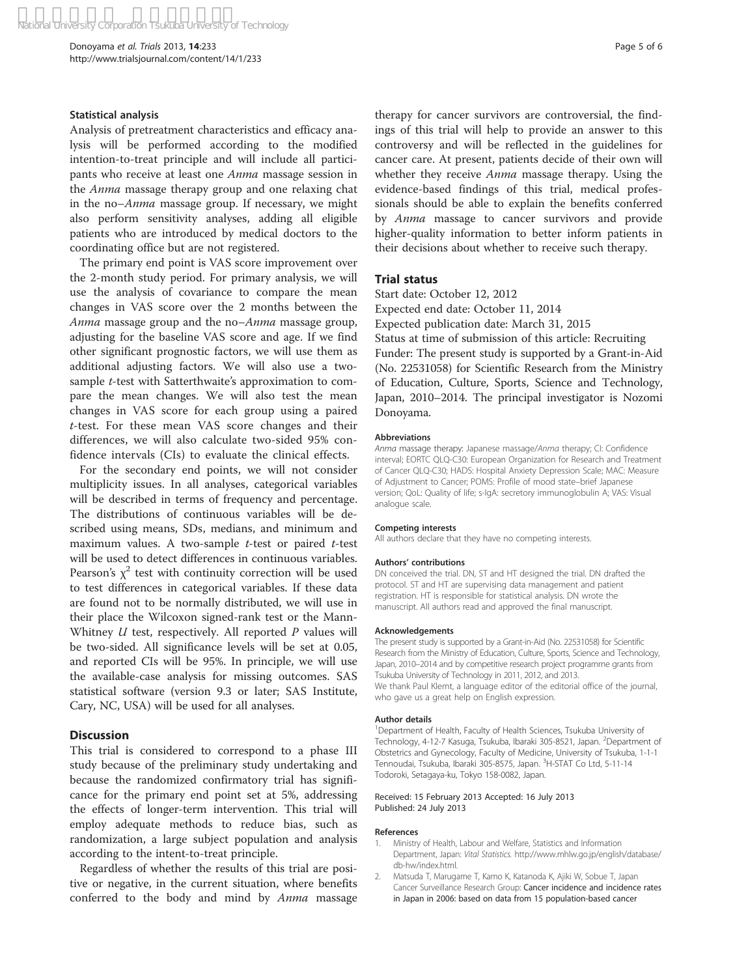<span id="page-4-0"></span>Donoyama et al. Trials 2013, 14:233 Page 5 of 6 http://www.trialsjournal.com/content/14/1/233

#### Statistical analysis

Analysis of pretreatment characteristics and efficacy analysis will be performed according to the modified intention-to-treat principle and will include all participants who receive at least one Anma massage session in the Anma massage therapy group and one relaxing chat in the no–Anma massage group. If necessary, we might also perform sensitivity analyses, adding all eligible patients who are introduced by medical doctors to the coordinating office but are not registered.

The primary end point is VAS score improvement over the 2-month study period. For primary analysis, we will use the analysis of covariance to compare the mean changes in VAS score over the 2 months between the Anma massage group and the no–Anma massage group, adjusting for the baseline VAS score and age. If we find other significant prognostic factors, we will use them as additional adjusting factors. We will also use a twosample *t*-test with Satterthwaite's approximation to compare the mean changes. We will also test the mean changes in VAS score for each group using a paired t-test. For these mean VAS score changes and their differences, we will also calculate two-sided 95% confidence intervals (CIs) to evaluate the clinical effects.

For the secondary end points, we will not consider multiplicity issues. In all analyses, categorical variables will be described in terms of frequency and percentage. The distributions of continuous variables will be described using means, SDs, medians, and minimum and maximum values. A two-sample  $t$ -test or paired  $t$ -test will be used to detect differences in continuous variables. Pearson's  $\chi^2$  test with continuity correction will be used to test differences in categorical variables. If these data are found not to be normally distributed, we will use in their place the Wilcoxon signed-rank test or the Mann-Whitney  $U$  test, respectively. All reported  $P$  values will be two-sided. All significance levels will be set at 0.05, and reported CIs will be 95%. In principle, we will use the available-case analysis for missing outcomes. SAS statistical software (version 9.3 or later; SAS Institute, Cary, NC, USA) will be used for all analyses.

# **Discussion**

This trial is considered to correspond to a phase III study because of the preliminary study undertaking and because the randomized confirmatory trial has significance for the primary end point set at 5%, addressing the effects of longer-term intervention. This trial will employ adequate methods to reduce bias, such as randomization, a large subject population and analysis according to the intent-to-treat principle.

Regardless of whether the results of this trial are positive or negative, in the current situation, where benefits conferred to the body and mind by Anma massage therapy for cancer survivors are controversial, the findings of this trial will help to provide an answer to this controversy and will be reflected in the guidelines for cancer care. At present, patients decide of their own will whether they receive Anma massage therapy. Using the evidence-based findings of this trial, medical professionals should be able to explain the benefits conferred by Anma massage to cancer survivors and provide higher-quality information to better inform patients in their decisions about whether to receive such therapy.

# Trial status

Start date: October 12, 2012

Expected end date: October 11, 2014

Expected publication date: March 31, 2015

Status at time of submission of this article: Recruiting Funder: The present study is supported by a Grant-in-Aid (No. 22531058) for Scientific Research from the Ministry of Education, Culture, Sports, Science and Technology, Japan, 2010–2014. The principal investigator is Nozomi Donoyama.

#### Abbreviations

Anma massage therapy: Japanese massage/Anma therapy; CI: Confidence interval; EORTC QLQ-C30: European Organization for Research and Treatment of Cancer QLQ-C30; HADS: Hospital Anxiety Depression Scale; MAC: Measure of Adjustment to Cancer; POMS: Profile of mood state–brief Japanese version; QoL: Quality of life; s-IgA: secretory immunoglobulin A; VAS: Visual analogue scale.

#### Competing interests

All authors declare that they have no competing interests.

#### Authors' contributions

DN conceived the trial. DN, ST and HT designed the trial. DN drafted the protocol. ST and HT are supervising data management and patient registration. HT is responsible for statistical analysis. DN wrote the manuscript. All authors read and approved the final manuscript.

#### Acknowledgements

The present study is supported by a Grant-in-Aid (No. 22531058) for Scientific Research from the Ministry of Education, Culture, Sports, Science and Technology, Japan, 2010–2014 and by competitive research project programme grants from Tsukuba University of Technology in 2011, 2012, and 2013. We thank Paul Klemt, a language editor of the editorial office of the journal, who gave us a great help on English expression.

#### Author details

<sup>1</sup>Department of Health, Faculty of Health Sciences, Tsukuba University of Technology, 4-12-7 Kasuga, Tsukuba, Ibaraki 305-8521, Japan. <sup>2</sup>Department of Obstetrics and Gynecology, Faculty of Medicine, University of Tsukuba, 1-1-1 Tennoudai, Tsukuba, Ibaraki 305-8575, Japan. <sup>3</sup>H-STAT Co Ltd, 5-11-14 Todoroki, Setagaya-ku, Tokyo 158-0082, Japan.

#### Received: 15 February 2013 Accepted: 16 July 2013 Published: 24 July 2013

#### References

- 1. Ministry of Health, Labour and Welfare, Statistics and Information Department, Japan: Vital Statistics. [http://www.mhlw.go.jp/english/database/](http://www.mhlw.go.jp/english/database/db-hw/index.html) [db-hw/index.html.](http://www.mhlw.go.jp/english/database/db-hw/index.html)
- 2. Matsuda T, Marugame T, Kamo K, Katanoda K, Ajiki W, Sobue T, Japan Cancer Surveillance Research Group: Cancer incidence and incidence rates in Japan in 2006: based on data from 15 population-based cancer